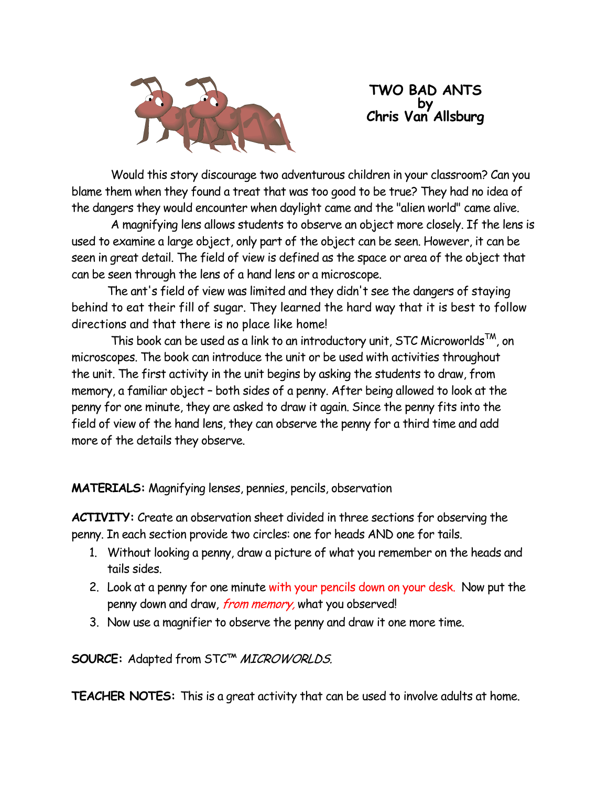

## **TWO BAD ANTS by Chris Van Allsburg**

Would this story discourage two adventurous children in your classroom? Can you blame them when they found a treat that was too good to be true? They had no idea of the dangers they would encounter when daylight came and the "alien world" came alive.

A magnifying lens allows students to observe an object more closely. If the lens is used to examine a large object, only part of the object can be seen. However, it can be seen in great detail. The field of view is defined as the space or area of the object that can be seen through the lens of a hand lens or a microscope.

 The ant's field of view was limited and they didn't see the dangers of staying behind to eat their fill of sugar. They learned the hard way that it is best to follow directions and that there is no place like home!

This book can be used as a link to an introductory unit, STC Microworlds<sup>TM</sup>, on microscopes. The book can introduce the unit or be used with activities throughout the unit. The first activity in the unit begins by asking the students to draw, from memory, a familiar object – both sides of a penny. After being allowed to look at the penny for one minute, they are asked to draw it again. Since the penny fits into the field of view of the hand lens, they can observe the penny for a third time and add more of the details they observe.

**MATERIALS:** Magnifying lenses, pennies, pencils, observation

**ACTIVITY:** Create an observation sheet divided in three sections for observing the penny. In each section provide two circles: one for heads AND one for tails.

- 1. Without looking a penny, draw a picture of what you remember on the heads and tails sides.
- 2. Look at a penny for one minute with your pencils down on your desk. Now put the penny down and draw, from memory, what you observed!
- 3. Now use a magnifier to observe the penny and draw it one more time.

**SOURCE:** Adapted from STC™ MICROWORLDS.

**TEACHER NOTES:** This is a great activity that can be used to involve adults at home.